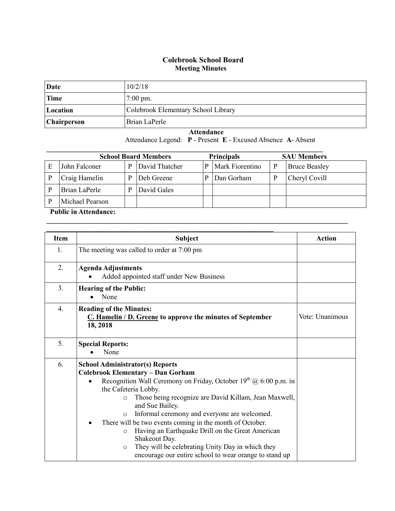## **Colebrook School Board Meeting Minutes**

| Date        | 10/2/18                             |
|-------------|-------------------------------------|
| <b>Time</b> | $7:00 \text{ pm}$ .                 |
| Location    | Colebrook Elementary School Library |
| Chairperson | Brian LaPerle                       |

 **Attendance**

Attendance Legend: **P** - Present **E** - Excused Absence **A**- Absent

| <b>School Board Members</b> |                 |   |                | <b>Principals</b> |                 |  | <b>SAU Members</b>   |  |
|-----------------------------|-----------------|---|----------------|-------------------|-----------------|--|----------------------|--|
| E                           | John Falconer   | D | David Thatcher | P                 | Mark Fiorentino |  | <b>Bruce Beasley</b> |  |
|                             | Craig Hamelin   | D | Deb Greene     |                   | Dan Gorham      |  | Cheryl Covill        |  |
|                             | Brian LaPerle   | D | David Gales    |                   |                 |  |                      |  |
|                             | Michael Pearson |   |                |                   |                 |  |                      |  |

**\_\_\_\_\_\_\_\_\_\_\_\_\_\_\_\_\_\_\_\_\_\_\_\_\_\_\_\_\_\_\_\_\_\_\_\_\_\_\_\_\_\_\_\_\_\_\_\_\_\_\_\_\_\_\_\_\_\_\_\_\_\_\_\_\_\_\_\_\_\_\_\_\_\_\_\_\_\_\_\_\_\_\_\_\_**

## **Public in Attendance:**

| <b>Item</b>      | <b>Subject</b>                                                                                                                                                                                                                                                                                                                                                                                                                                                                                                                                                                                                          | <b>Action</b>   |
|------------------|-------------------------------------------------------------------------------------------------------------------------------------------------------------------------------------------------------------------------------------------------------------------------------------------------------------------------------------------------------------------------------------------------------------------------------------------------------------------------------------------------------------------------------------------------------------------------------------------------------------------------|-----------------|
| 1.               | The meeting was called to order at 7:00 pm                                                                                                                                                                                                                                                                                                                                                                                                                                                                                                                                                                              |                 |
| 2.               | <b>Agenda Adjustments</b><br>Added appointed staff under New Business                                                                                                                                                                                                                                                                                                                                                                                                                                                                                                                                                   |                 |
| 3.               | <b>Hearing of the Public:</b><br>None                                                                                                                                                                                                                                                                                                                                                                                                                                                                                                                                                                                   |                 |
| $\overline{4}$ . | <b>Reading of the Minutes:</b><br>C. Hamelin / D. Greene to approve the minutes of September<br>18, 2018                                                                                                                                                                                                                                                                                                                                                                                                                                                                                                                | Vote: Unanimous |
| 5.               | <b>Special Reports:</b><br>None                                                                                                                                                                                                                                                                                                                                                                                                                                                                                                                                                                                         |                 |
| 6.               | <b>School Administrator(s) Reports</b><br><b>Colebrook Elementary - Dan Gorham</b><br>Recognition Wall Ceremony on Friday, October $19^{th}$ ( $\partial$ , 6:00 p.m. in<br>the Cafeteria Lobby.<br>Those being recognize are David Killam, Jean Maxwell,<br>$\circ$<br>and Sue Bailey.<br>Informal ceremony and everyone are welcomed.<br>$\circ$<br>There will be two events coming in the month of October.<br>Having an Earthquake Drill on the Great American<br>$\circ$<br>Shakeout Day.<br>They will be celebrating Unity Day in which they<br>$\circ$<br>encourage our entire school to wear orange to stand up |                 |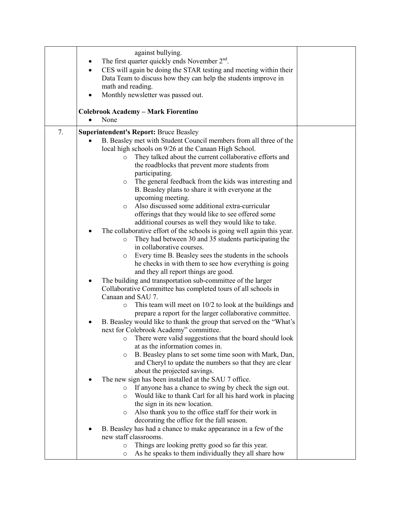|    | against bullying.                                                              |  |
|----|--------------------------------------------------------------------------------|--|
|    | The first quarter quickly ends November $2nd$ .                                |  |
|    | CES will again be doing the STAR testing and meeting within their<br>$\bullet$ |  |
|    | Data Team to discuss how they can help the students improve in                 |  |
|    | math and reading.                                                              |  |
|    | $\bullet$                                                                      |  |
|    | Monthly newsletter was passed out.                                             |  |
|    | <b>Colebrook Academy - Mark Fiorentino</b>                                     |  |
|    | None                                                                           |  |
|    |                                                                                |  |
| 7. | <b>Superintendent's Report: Bruce Beasley</b>                                  |  |
|    | B. Beasley met with Student Council members from all three of the              |  |
|    | local high schools on 9/26 at the Canaan High School.                          |  |
|    | They talked about the current collaborative efforts and<br>$\circ$             |  |
|    | the roadblocks that prevent more students from                                 |  |
|    | participating.                                                                 |  |
|    | The general feedback from the kids was interesting and<br>$\circ$              |  |
|    | B. Beasley plans to share it with everyone at the                              |  |
|    | upcoming meeting.                                                              |  |
|    | Also discussed some additional extra-curricular<br>$\circ$                     |  |
|    | offerings that they would like to see offered some                             |  |
|    | additional courses as well they would like to take.                            |  |
|    | The collaborative effort of the schools is going well again this year.         |  |
|    | They had between 30 and 35 students participating the<br>$\circ$               |  |
|    | in collaborative courses.                                                      |  |
|    | Every time B. Beasley sees the students in the schools<br>$\circ$              |  |
|    | he checks in with them to see how everything is going                          |  |
|    | and they all report things are good.                                           |  |
|    | The building and transportation sub-committee of the larger<br>٠               |  |
|    | Collaborative Committee has completed tours of all schools in                  |  |
|    | Canaan and SAU 7.                                                              |  |
|    | This team will meet on $10/2$ to look at the buildings and<br>$\circ$          |  |
|    | prepare a report for the larger collaborative committee.                       |  |
|    | B. Beasley would like to thank the group that served on the "What's            |  |
|    | next for Colebrook Academy" committee.                                         |  |
|    | There were valid suggestions that the board should look<br>O                   |  |
|    | at as the information comes in.                                                |  |
|    | B. Beasley plans to set some time soon with Mark, Dan,<br>$\circ$              |  |
|    | and Cheryl to update the numbers so that they are clear                        |  |
|    | about the projected savings.                                                   |  |
|    | The new sign has been installed at the SAU 7 office.                           |  |
|    | If anyone has a chance to swing by check the sign out.<br>$\circ$              |  |
|    | Would like to thank Carl for all his hard work in placing<br>$\circ$           |  |
|    | the sign in its new location.                                                  |  |
|    | Also thank you to the office staff for their work in<br>$\circ$                |  |
|    | decorating the office for the fall season.                                     |  |
|    | B. Beasley has had a chance to make appearance in a few of the                 |  |
|    | new staff classrooms.                                                          |  |
|    | Things are looking pretty good so far this year.<br>$\circ$                    |  |
|    | As he speaks to them individually they all share how<br>O                      |  |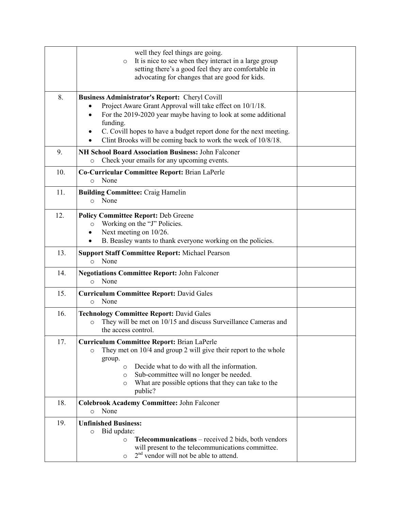|     | well they feel things are going.<br>It is nice to see when they interact in a large group<br>$\circ$<br>setting there's a good feel they are comfortable in<br>advocating for changes that are good for kids.                                                                                                                                             |  |
|-----|-----------------------------------------------------------------------------------------------------------------------------------------------------------------------------------------------------------------------------------------------------------------------------------------------------------------------------------------------------------|--|
| 8.  | <b>Business Administrator's Report: Cheryl Covill</b><br>Project Aware Grant Approval will take effect on 10/1/18.<br>For the 2019-2020 year maybe having to look at some additional<br>$\bullet$<br>funding.<br>C. Covill hopes to have a budget report done for the next meeting.<br>٠<br>Clint Brooks will be coming back to work the week of 10/8/18. |  |
| 9.  | NH School Board Association Business: John Falconer<br>Check your emails for any upcoming events.<br>$\circ$                                                                                                                                                                                                                                              |  |
| 10. | Co-Curricular Committee Report: Brian LaPerle<br>None<br>$\circ$                                                                                                                                                                                                                                                                                          |  |
| 11. | <b>Building Committee: Craig Hamelin</b><br>None<br>$\circ$                                                                                                                                                                                                                                                                                               |  |
| 12. | <b>Policy Committee Report: Deb Greene</b><br>Working on the "J" Policies.<br>$\circ$<br>Next meeting on 10/26.<br>٠<br>B. Beasley wants to thank everyone working on the policies.<br>$\bullet$                                                                                                                                                          |  |
| 13. | <b>Support Staff Committee Report: Michael Pearson</b><br>None<br>$\circ$                                                                                                                                                                                                                                                                                 |  |
| 14. | <b>Negotiations Committee Report: John Falconer</b><br>None<br>$\circ$                                                                                                                                                                                                                                                                                    |  |
| 15. | <b>Curriculum Committee Report: David Gales</b><br>None<br>$\circ$                                                                                                                                                                                                                                                                                        |  |
| 16. | <b>Technology Committee Report: David Gales</b><br>They will be met on 10/15 and discuss Surveillance Cameras and<br>O<br>the access control.                                                                                                                                                                                                             |  |
| 17. | <b>Curriculum Committee Report: Brian LaPerle</b><br>They met on 10/4 and group 2 will give their report to the whole<br>O<br>group.<br>Decide what to do with all the information.<br>$\circ$<br>Sub-committee will no longer be needed.<br>$\circ$<br>What are possible options that they can take to the<br>$\circ$<br>public?                         |  |
| 18. | Colebrook Academy Committee: John Falconer<br>None<br>$\circ$                                                                                                                                                                                                                                                                                             |  |
| 19. | <b>Unfinished Business:</b><br>Bid update:<br>$\circ$<br>Telecommunications - received 2 bids, both vendors<br>$\circ$<br>will present to the telecommunications committee.<br>2 <sup>nd</sup> vendor will not be able to attend.<br>$\circ$                                                                                                              |  |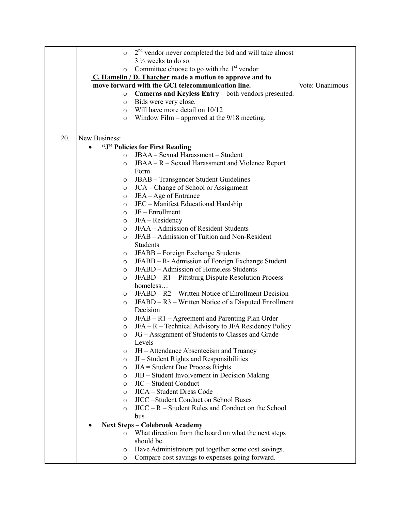|     | $\circ$                                                  | $2nd$ vendor never completed the bid and will take almost                    |  |  |
|-----|----------------------------------------------------------|------------------------------------------------------------------------------|--|--|
|     |                                                          | $3\frac{1}{2}$ weeks to do so.                                               |  |  |
|     | $\circ$                                                  | Committee choose to go with the $1st$ vendor                                 |  |  |
|     | C. Hamelin / D. Thatcher made a motion to approve and to |                                                                              |  |  |
|     | move forward with the GCI telecommunication line.        | Vote: Unanimous                                                              |  |  |
|     | $\circ$                                                  |                                                                              |  |  |
|     | $\circ$                                                  | Cameras and Keyless Entry - both vendors presented.<br>Bids were very close. |  |  |
|     | $\circ$                                                  | Will have more detail on 10/12                                               |  |  |
|     | $\circ$                                                  | Window Film – approved at the $9/18$ meeting.                                |  |  |
|     |                                                          |                                                                              |  |  |
| 20. | New Business:                                            |                                                                              |  |  |
|     |                                                          | "J" Policies for First Reading                                               |  |  |
|     | $\circ$                                                  | JBAA - Sexual Harassment - Student                                           |  |  |
|     | $\circ$                                                  | JBAA – R – Sexual Harassment and Violence Report                             |  |  |
|     |                                                          | Form                                                                         |  |  |
|     | O                                                        | JBAB - Transgender Student Guidelines                                        |  |  |
|     | $\circ$                                                  | JCA – Change of School or Assignment                                         |  |  |
|     | $\circ$                                                  | JEA - Age of Entrance                                                        |  |  |
|     | $\circ$                                                  | JEC - Manifest Educational Hardship                                          |  |  |
|     | O                                                        | JF - Enrollment                                                              |  |  |
|     | O                                                        | JFA - Residency                                                              |  |  |
|     | $\circ$                                                  | JFAA – Admission of Resident Students                                        |  |  |
|     | $\circ$                                                  | JFAB - Admission of Tuition and Non-Resident                                 |  |  |
|     |                                                          | Students                                                                     |  |  |
|     |                                                          | JFABB - Foreign Exchange Students                                            |  |  |
|     | O<br>$\circ$                                             | JFABB – R- Admission of Foreign Exchange Student                             |  |  |
|     | $\circ$                                                  | JFABD – Admission of Homeless Students                                       |  |  |
|     | $\circ$                                                  | JFABD – R1 – Pittsburg Dispute Resolution Process                            |  |  |
|     |                                                          | homeless                                                                     |  |  |
|     | O                                                        | JFABD – R2 – Written Notice of Enrollment Decision                           |  |  |
|     | O                                                        | JFABD – R3 – Written Notice of a Disputed Enrollment                         |  |  |
|     |                                                          | Decision                                                                     |  |  |
|     | O                                                        | JFAB – R1 – Agreement and Parenting Plan Order                               |  |  |
|     | $\circ$                                                  | JFA – R – Technical Advisory to JFA Residency Policy                         |  |  |
|     | $\circ$                                                  | JG - Assignment of Students to Classes and Grade                             |  |  |
|     |                                                          | Levels                                                                       |  |  |
|     | O                                                        | JH – Attendance Absenteeism and Truancy                                      |  |  |
|     | O                                                        | JI – Student Rights and Responsibilities                                     |  |  |
|     | O                                                        | $JIA = Student Due Process Rights$                                           |  |  |
|     | O                                                        | JIB - Student Involvement in Decision Making                                 |  |  |
|     | $\circ$                                                  | JIC - Student Conduct                                                        |  |  |
|     | $\circ$                                                  | JICA - Student Dress Code                                                    |  |  |
|     | $\circ$                                                  | JICC = Student Conduct on School Buses                                       |  |  |
|     | $\circ$                                                  | $JICC - R - Student Rules and Conduct on the School$                         |  |  |
|     |                                                          | bus                                                                          |  |  |
|     | <b>Next Steps - Colebrook Academy</b>                    |                                                                              |  |  |
|     | $\circ$                                                  | What direction from the board on what the next steps                         |  |  |
|     |                                                          | should be.                                                                   |  |  |
|     | O                                                        | Have Administrators put together some cost savings.                          |  |  |
|     | O                                                        | Compare cost savings to expenses going forward.                              |  |  |